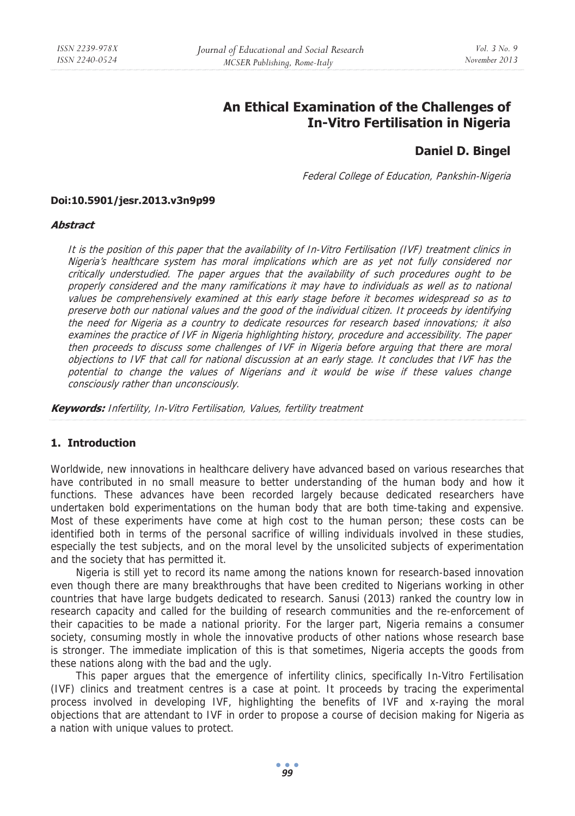# **An Ethical Examination of the Challenges of In-Vitro Fertilisation in Nigeria**

# **Daniel D. Bingel**

Federal College of Education, Pankshin-Nigeria

#### **Doi:10.5901/jesr.2013.v3n9p99**

#### **Abstract**

It is the position of this paper that the availability of In-Vitro Fertilisation (IVF) treatment clinics in Nigeria's healthcare system has moral implications which are as yet not fully considered nor critically understudied. The paper argues that the availability of such procedures ought to be properly considered and the many ramifications it may have to individuals as well as to national values be comprehensively examined at this early stage before it becomes widespread so as to preserve both our national values and the good of the individual citizen. It proceeds by identifying the need for Nigeria as a country to dedicate resources for research based innovations; it also examines the practice of IVF in Nigeria highlighting history, procedure and accessibility. The paper then proceeds to discuss some challenges of IVF in Nigeria before arguing that there are moral objections to IVF that call for national discussion at an early stage. It concludes that IVF has the potential to change the values of Nigerians and it would be wise if these values change consciously rather than unconsciously.

**Keywords:** Infertility, In-Vitro Fertilisation, Values, fertility treatment

## **1. Introduction**

Worldwide, new innovations in healthcare delivery have advanced based on various researches that have contributed in no small measure to better understanding of the human body and how it functions. These advances have been recorded largely because dedicated researchers have undertaken bold experimentations on the human body that are both time-taking and expensive. Most of these experiments have come at high cost to the human person; these costs can be identified both in terms of the personal sacrifice of willing individuals involved in these studies, especially the test subjects, and on the moral level by the unsolicited subjects of experimentation and the society that has permitted it.

Nigeria is still yet to record its name among the nations known for research-based innovation even though there are many breakthroughs that have been credited to Nigerians working in other countries that have large budgets dedicated to research. Sanusi (2013) ranked the country low in research capacity and called for the building of research communities and the re-enforcement of their capacities to be made a national priority. For the larger part, Nigeria remains a consumer society, consuming mostly in whole the innovative products of other nations whose research base is stronger. The immediate implication of this is that sometimes, Nigeria accepts the goods from these nations along with the bad and the ugly.

This paper argues that the emergence of infertility clinics, specifically In-Vitro Fertilisation (IVF) clinics and treatment centres is a case at point. It proceeds by tracing the experimental process involved in developing IVF, highlighting the benefits of IVF and x-raying the moral objections that are attendant to IVF in order to propose a course of decision making for Nigeria as a nation with unique values to protect.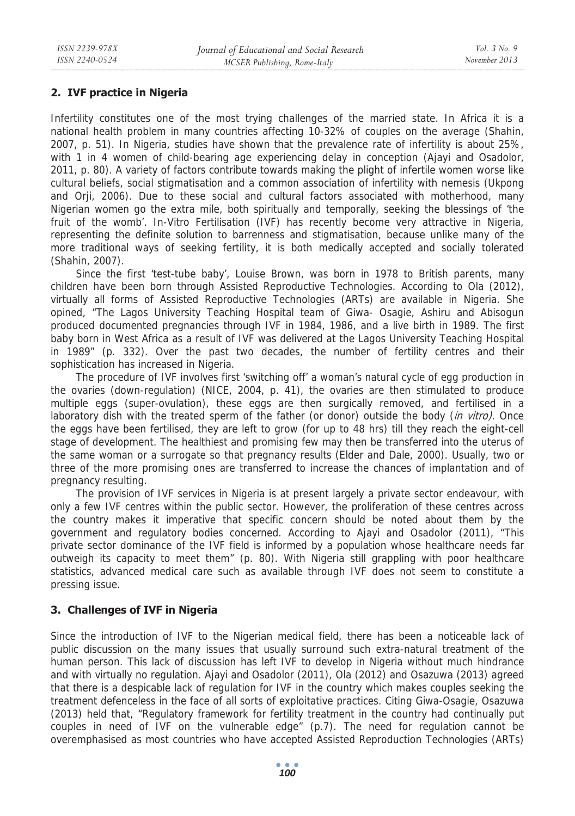## **2. IVF practice in Nigeria**

Infertility constitutes one of the most trying challenges of the married state. In Africa it is a national health problem in many countries affecting 10-32% of couples on the average (Shahin, 2007, p. 51). In Nigeria, studies have shown that the prevalence rate of infertility is about 25%, with 1 in 4 women of child-bearing age experiencing delay in conception (Ajayi and Osadolor, 2011, p. 80). A variety of factors contribute towards making the plight of infertile women worse like cultural beliefs, social stigmatisation and a common association of infertility with nemesis (Ukpong and Orji, 2006). Due to these social and cultural factors associated with motherhood, many Nigerian women go the extra mile, both spiritually and temporally, seeking the blessings of 'the fruit of the womb'. In-Vitro Fertilisation (IVF) has recently become very attractive in Nigeria, representing the definite solution to barrenness and stigmatisation, because unlike many of the more traditional ways of seeking fertility, it is both medically accepted and socially tolerated (Shahin, 2007).

Since the first 'test-tube baby', Louise Brown, was born in 1978 to British parents, many children have been born through Assisted Reproductive Technologies. According to Ola (2012), virtually all forms of Assisted Reproductive Technologies (ARTs) are available in Nigeria. She opined, "The Lagos University Teaching Hospital team of Giwa- Osagie, Ashiru and Abisogun produced documented pregnancies through IVF in 1984, 1986, and a live birth in 1989. The first baby born in West Africa as a result of IVF was delivered at the Lagos University Teaching Hospital in 1989" (p. 332). Over the past two decades, the number of fertility centres and their sophistication has increased in Nigeria.

The procedure of IVF involves first 'switching off' a woman's natural cycle of egg production in the ovaries (down-regulation) (NICE, 2004, p. 41), the ovaries are then stimulated to produce multiple eggs (super-ovulation), these eggs are then surgically removed, and fertilised in a laboratory dish with the treated sperm of the father (or donor) outside the body (in vitro). Once the eggs have been fertilised, they are left to grow (for up to 48 hrs) till they reach the eight-cell stage of development. The healthiest and promising few may then be transferred into the uterus of the same woman or a surrogate so that pregnancy results (Elder and Dale, 2000). Usually, two or three of the more promising ones are transferred to increase the chances of implantation and of pregnancy resulting.

The provision of IVF services in Nigeria is at present largely a private sector endeavour, with only a few IVF centres within the public sector. However, the proliferation of these centres across the country makes it imperative that specific concern should be noted about them by the government and regulatory bodies concerned. According to Ajayi and Osadolor (2011), "This private sector dominance of the IVF field is informed by a population whose healthcare needs far outweigh its capacity to meet them" (p. 80). With Nigeria still grappling with poor healthcare statistics, advanced medical care such as available through IVF does not seem to constitute a pressing issue.

## **3. Challenges of IVF in Nigeria**

Since the introduction of IVF to the Nigerian medical field, there has been a noticeable lack of public discussion on the many issues that usually surround such extra-natural treatment of the human person. This lack of discussion has left IVF to develop in Nigeria without much hindrance and with virtually no regulation. Ajayi and Osadolor (2011), Ola (2012) and Osazuwa (2013) agreed that there is a despicable lack of regulation for IVF in the country which makes couples seeking the treatment defenceless in the face of all sorts of exploitative practices. Citing Giwa-Osagie, Osazuwa (2013) held that, "Regulatory framework for fertility treatment in the country had continually put couples in need of IVF on the vulnerable edge" (p.7). The need for regulation cannot be overemphasised as most countries who have accepted Assisted Reproduction Technologies (ARTs)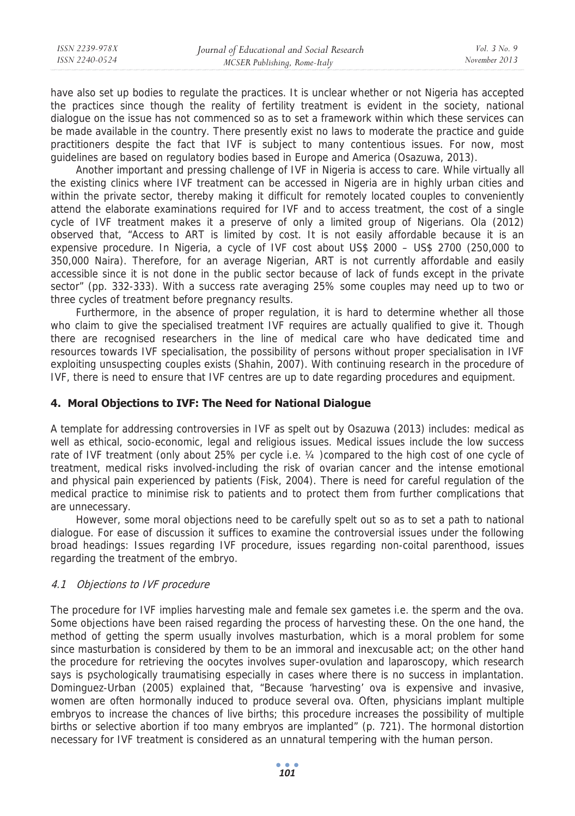| ISSN 2239-978X | Journal of Educational and Social Research | Vol. 3 No. 9  |
|----------------|--------------------------------------------|---------------|
| ISSN 2240-0524 | MCSER Publishing, Rome-Italy               | November 2013 |
|                |                                            |               |

have also set up bodies to regulate the practices. It is unclear whether or not Nigeria has accepted the practices since though the reality of fertility treatment is evident in the society, national dialogue on the issue has not commenced so as to set a framework within which these services can be made available in the country. There presently exist no laws to moderate the practice and guide practitioners despite the fact that IVF is subject to many contentious issues. For now, most guidelines are based on regulatory bodies based in Europe and America (Osazuwa, 2013).

Another important and pressing challenge of IVF in Nigeria is access to care. While virtually all the existing clinics where IVF treatment can be accessed in Nigeria are in highly urban cities and within the private sector, thereby making it difficult for remotely located couples to conveniently attend the elaborate examinations required for IVF and to access treatment, the cost of a single cycle of IVF treatment makes it a preserve of only a limited group of Nigerians. Ola (2012) observed that, "Access to ART is limited by cost. It is not easily affordable because it is an expensive procedure. In Nigeria, a cycle of IVF cost about US\$ 2000 – US\$ 2700 (250,000 to 350,000 Naira). Therefore, for an average Nigerian, ART is not currently affordable and easily accessible since it is not done in the public sector because of lack of funds except in the private sector" (pp. 332-333). With a success rate averaging 25% some couples may need up to two or three cycles of treatment before pregnancy results.

Furthermore, in the absence of proper regulation, it is hard to determine whether all those who claim to give the specialised treatment IVF requires are actually qualified to give it. Though there are recognised researchers in the line of medical care who have dedicated time and resources towards IVF specialisation, the possibility of persons without proper specialisation in IVF exploiting unsuspecting couples exists (Shahin, 2007). With continuing research in the procedure of IVF, there is need to ensure that IVF centres are up to date regarding procedures and equipment.

## **4. Moral Objections to IVF: The Need for National Dialogue**

A template for addressing controversies in IVF as spelt out by Osazuwa (2013) includes: medical as well as ethical, socio-economic, legal and religious issues. Medical issues include the low success rate of IVF treatment (only about 25% per cycle i.e. ¼ )compared to the high cost of one cycle of treatment, medical risks involved-including the risk of ovarian cancer and the intense emotional and physical pain experienced by patients (Fisk, 2004). There is need for careful regulation of the medical practice to minimise risk to patients and to protect them from further complications that are unnecessary.

However, some moral objections need to be carefully spelt out so as to set a path to national dialogue. For ease of discussion it suffices to examine the controversial issues under the following broad headings: Issues regarding IVF procedure, issues regarding non-coital parenthood, issues regarding the treatment of the embryo.

### 4.1 Objections to IVF procedure

The procedure for IVF implies harvesting male and female sex gametes i.e. the sperm and the ova. Some objections have been raised regarding the process of harvesting these. On the one hand, the method of getting the sperm usually involves masturbation, which is a moral problem for some since masturbation is considered by them to be an immoral and inexcusable act; on the other hand the procedure for retrieving the oocytes involves super-ovulation and laparoscopy, which research says is psychologically traumatising especially in cases where there is no success in implantation. Dominguez-Urban (2005) explained that, "Because 'harvesting' ova is expensive and invasive, women are often hormonally induced to produce several ova. Often, physicians implant multiple embryos to increase the chances of live births; this procedure increases the possibility of multiple births or selective abortion if too many embryos are implanted" (p. 721). The hormonal distortion necessary for IVF treatment is considered as an unnatural tempering with the human person.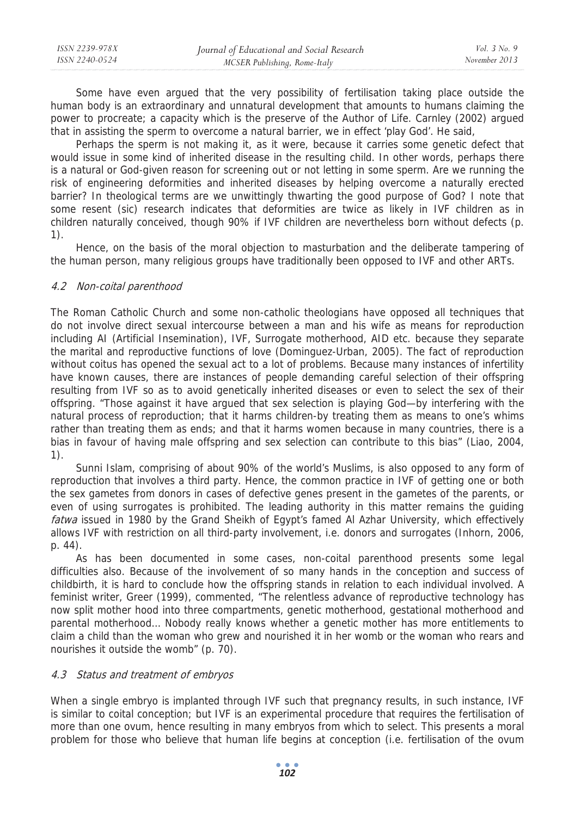| ISSN 2239-978X | Journal of Educational and Social Research | <i>Vol.</i> 3 No. 9 |
|----------------|--------------------------------------------|---------------------|
| ISSN 2240-0524 | MCSER Publishing, Rome-Italy               | November 2013       |

Some have even argued that the very possibility of fertilisation taking place outside the human body is an extraordinary and unnatural development that amounts to humans claiming the power to procreate; a capacity which is the preserve of the Author of Life. Carnley (2002) argued that in assisting the sperm to overcome a natural barrier, we in effect 'play God'. He said,

Perhaps the sperm is not making it, as it were, because it carries some genetic defect that would issue in some kind of inherited disease in the resulting child. In other words, perhaps there is a natural or God-given reason for screening out or not letting in some sperm. Are we running the risk of engineering deformities and inherited diseases by helping overcome a naturally erected barrier? In theological terms are we unwittingly thwarting the good purpose of God? I note that some resent (sic) research indicates that deformities are twice as likely in IVF children as in children naturally conceived, though 90% if IVF children are nevertheless born without defects (p. 1).

Hence, on the basis of the moral objection to masturbation and the deliberate tampering of the human person, many religious groups have traditionally been opposed to IVF and other ARTs.

### 4.2 Non-coital parenthood

The Roman Catholic Church and some non-catholic theologians have opposed all techniques that do not involve direct sexual intercourse between a man and his wife as means for reproduction including AI (Artificial Insemination), IVF, Surrogate motherhood, AID etc. because they separate the marital and reproductive functions of love (Dominguez-Urban, 2005). The fact of reproduction without coitus has opened the sexual act to a lot of problems. Because many instances of infertility have known causes, there are instances of people demanding careful selection of their offspring resulting from IVF so as to avoid genetically inherited diseases or even to select the sex of their offspring. "Those against it have argued that sex selection is playing God—by interfering with the natural process of reproduction; that it harms children-by treating them as means to one's whims rather than treating them as ends; and that it harms women because in many countries, there is a bias in favour of having male offspring and sex selection can contribute to this bias" (Liao, 2004, 1).

Sunni Islam, comprising of about 90% of the world's Muslims, is also opposed to any form of reproduction that involves a third party. Hence, the common practice in IVF of getting one or both the sex gametes from donors in cases of defective genes present in the gametes of the parents, or even of using surrogates is prohibited. The leading authority in this matter remains the guiding fatwa issued in 1980 by the Grand Sheikh of Egypt's famed Al Azhar University, which effectively allows IVF with restriction on all third-party involvement, i.e. donors and surrogates (Inhorn, 2006, p. 44).

As has been documented in some cases, non-coital parenthood presents some legal difficulties also. Because of the involvement of so many hands in the conception and success of childbirth, it is hard to conclude how the offspring stands in relation to each individual involved. A feminist writer, Greer (1999), commented, "The relentless advance of reproductive technology has now split mother hood into three compartments, genetic motherhood, gestational motherhood and parental motherhood… Nobody really knows whether a genetic mother has more entitlements to claim a child than the woman who grew and nourished it in her womb or the woman who rears and nourishes it outside the womb" (p. 70).

#### 4.3 Status and treatment of embryos

When a single embryo is implanted through IVF such that pregnancy results, in such instance, IVF is similar to coital conception; but IVF is an experimental procedure that requires the fertilisation of more than one ovum, hence resulting in many embryos from which to select. This presents a moral problem for those who believe that human life begins at conception (i.e. fertilisation of the ovum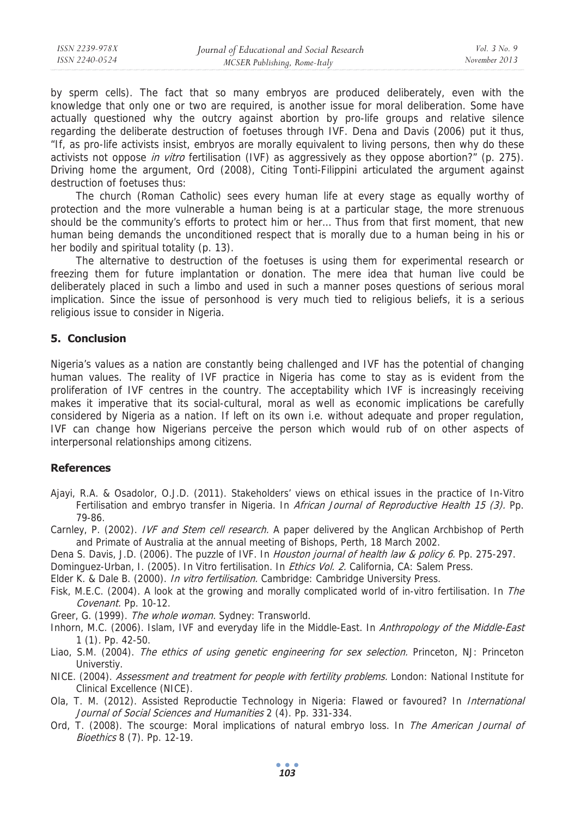| ISSN 2239-978X | Journal of Educational and Social Research | <i>Vol.</i> 3 No. 9 |
|----------------|--------------------------------------------|---------------------|
| ISSN 2240-0524 | MCSER Publishing, Rome-Italy               | November 2013       |
|                |                                            |                     |

by sperm cells). The fact that so many embryos are produced deliberately, even with the knowledge that only one or two are required, is another issue for moral deliberation. Some have actually questioned why the outcry against abortion by pro-life groups and relative silence regarding the deliberate destruction of foetuses through IVF. Dena and Davis (2006) put it thus, "If, as pro-life activists insist, embryos are morally equivalent to living persons, then why do these activists not oppose in vitro fertilisation (IVF) as aggressively as they oppose abortion?" (p. 275). Driving home the argument, Ord (2008), Citing Tonti-Filippini articulated the argument against destruction of foetuses thus:

The church (Roman Catholic) sees every human life at every stage as equally worthy of protection and the more vulnerable a human being is at a particular stage, the more strenuous should be the community's efforts to protect him or her… Thus from that first moment, that new human being demands the unconditioned respect that is morally due to a human being in his or her bodily and spiritual totality (p. 13).

The alternative to destruction of the foetuses is using them for experimental research or freezing them for future implantation or donation. The mere idea that human live could be deliberately placed in such a limbo and used in such a manner poses questions of serious moral implication. Since the issue of personhood is very much tied to religious beliefs, it is a serious religious issue to consider in Nigeria.

### **5. Conclusion**

Nigeria's values as a nation are constantly being challenged and IVF has the potential of changing human values. The reality of IVF practice in Nigeria has come to stay as is evident from the proliferation of IVF centres in the country. The acceptability which IVF is increasingly receiving makes it imperative that its social-cultural, moral as well as economic implications be carefully considered by Nigeria as a nation. If left on its own i.e. without adequate and proper regulation, IVF can change how Nigerians perceive the person which would rub of on other aspects of interpersonal relationships among citizens.

#### **References**

- Ajayi, R.A. & Osadolor, O.J.D. (2011). Stakeholders' views on ethical issues in the practice of In-Vitro Fertilisation and embryo transfer in Nigeria. In African Journal of Reproductive Health 15 (3). Pp. 79-86.
- Carnley, P. (2002). IVF and Stem cell research. A paper delivered by the Anglican Archbishop of Perth and Primate of Australia at the annual meeting of Bishops, Perth, 18 March 2002.
- Dena S. Davis, J.D. (2006). The puzzle of IVF. In *Houston journal of health law & policy 6*. Pp. 275-297.
- Dominguez-Urban, I. (2005). In Vitro fertilisation. In *Ethics Vol. 2.* California, CA: Salem Press.
- Elder K. & Dale B. (2000). In vitro fertilisation. Cambridge: Cambridge University Press.
- Fisk, M.E.C. (2004). A look at the growing and morally complicated world of in-vitro fertilisation. In The Covenant. Pp. 10-12.
- Greer, G. (1999). The whole woman. Sydney: Transworld.
- Inhorn, M.C. (2006). Islam, IVF and everyday life in the Middle-East. In Anthropology of the Middle-East 1 (1). Pp. 42-50.
- Liao, S.M. (2004). The ethics of using genetic engineering for sex selection. Princeton, NJ: Princeton Universtiy.
- NICE. (2004). Assessment and treatment for people with fertility problems. London: National Institute for Clinical Excellence (NICE).
- Ola, T. M. (2012). Assisted Reproductie Technology in Nigeria: Flawed or favoured? In *International* Journal of Social Sciences and Humanities 2 (4). Pp. 331-334.
- Ord, T. (2008). The scourge: Moral implications of natural embryo loss. In *The American Journal of* Bioethics 8 (7). Pp. 12-19.